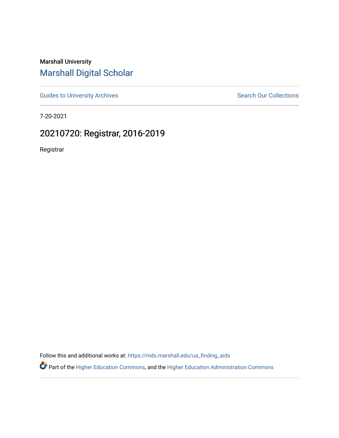Marshall University [Marshall Digital Scholar](https://mds.marshall.edu/)

[Guides to University Archives](https://mds.marshall.edu/ua_finding_aids) **Search Our Collections** Search Our Collections

7-20-2021

## 20210720: Registrar, 2016-2019

Registrar

Follow this and additional works at: [https://mds.marshall.edu/ua\\_finding\\_aids](https://mds.marshall.edu/ua_finding_aids?utm_source=mds.marshall.edu%2Fua_finding_aids%2F70&utm_medium=PDF&utm_campaign=PDFCoverPages) 

Part of the [Higher Education Commons,](http://network.bepress.com/hgg/discipline/1245?utm_source=mds.marshall.edu%2Fua_finding_aids%2F70&utm_medium=PDF&utm_campaign=PDFCoverPages) and the [Higher Education Administration Commons](http://network.bepress.com/hgg/discipline/791?utm_source=mds.marshall.edu%2Fua_finding_aids%2F70&utm_medium=PDF&utm_campaign=PDFCoverPages)